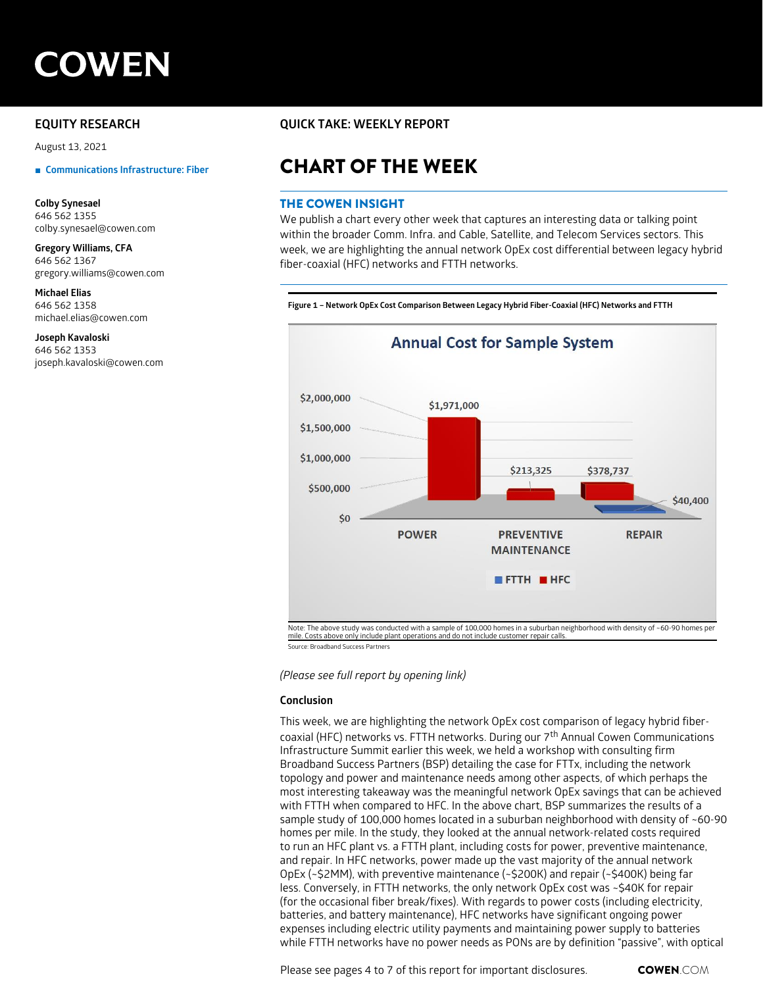# **COWEN**

August 13, 2021

**Colby Synesael** 646 562 1355 colby.synesael@cowen.com

#### **Gregory Williams, CFA** 646 562 1367 gregory.williams@cowen.com

**Michael Elias**

646 562 1358 michael.elias@cowen.com

#### **Joseph Kavaloski**

646 562 1353 joseph.kavaloski@cowen.com

## **EQUITY RESEARCH QUICK TAKE: WEEKLY REPORT**

# **■** Communications Infrastructure: Fiber **CHART OF THE WEEK**

#### THE COWEN INSIGHT

We publish a chart every other week that captures an interesting data or talking point within the broader Comm. Infra. and Cable, Satellite, and Telecom Services sectors. This week, we are highlighting the annual network OpEx cost differential between legacy hybrid fiber-coaxial (HFC) networks and FTTH networks.

**Figure 1 Network OpEx Cost Comparison Between Legacy Hybrid Fiber Coaxial (HFC) Networks and FTTH**



Source: Broadband Success Partners

#### *(Please see full report by opening link)*

#### **Conclusion**

This week, we are highlighting the network OpEx cost comparison of legacy hybrid fibercoaxial (HFC) networks vs. FTTH networks. During our  $7<sup>th</sup>$  Annual Cowen Communications Infrastructure Summit earlier this week, we held a workshop with consulting firm Broadband Success Partners (BSP) detailing the case for FTTx, including the network topology and power and maintenance needs among other aspects, of which perhaps the most interesting takeaway was the meaningful network OpEx savings that can be achieved with FTTH when compared to HFC. In the above chart, BSP summarizes the results of a sample study of 100,000 homes located in a suburban neighborhood with density of ~60-90 homes per mile. In the study, they looked at the annual network-related costs required to run an HFC plant vs. a FTTH plant, including costs for power, preventive maintenance, and repair. In HFC networks, power made up the vast majority of the annual network OpEx (~\$2MM), with preventive maintenance (~\$200K) and repair (~\$400K) being far less. Conversely, in FTTH networks, the only network OpEx cost was ~\$40K for repair (for the occasional fiber break/fixes). With regards to power costs (including electricity, batteries, and battery maintenance), HFC networks have significant ongoing power expenses including electric utility payments and maintaining power supply to batteries while FTTH networks have no power needs as PONs are by definition "passive", with optical

Please see pages 4 to 7 of this report for important disclosures. **COWEN**.COM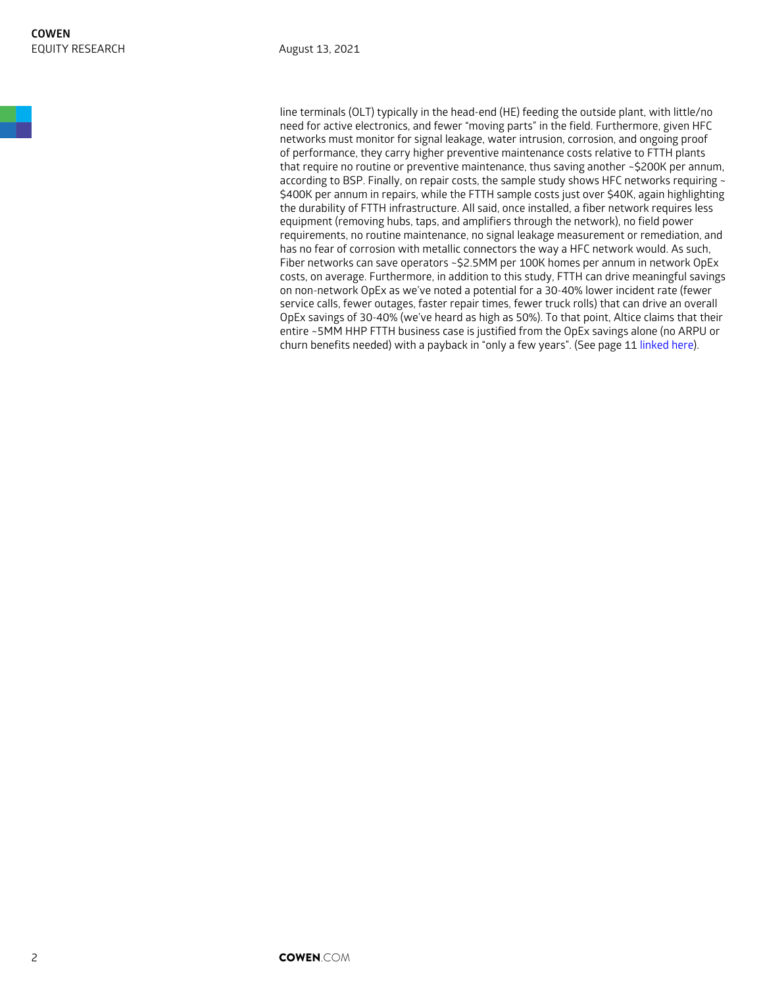line terminals (OLT) typically in the head-end (HE) feeding the outside plant, with little/no need for active electronics, and fewer "moving parts" in the field. Furthermore, given HFC networks must monitor for signal leakage, water intrusion, corrosion, and ongoing proof of performance, they carry higher preventive maintenance costs relative to FTTH plants that require no routine or preventive maintenance, thus saving another ~\$200K per annum, according to BSP. Finally, on repair costs, the sample study shows HFC networks requiring  $\sim$ \$400K per annum in repairs, while the FTTH sample costs just over \$40K, again highlighting the durability of FTTH infrastructure. All said, once installed, a fiber network requires less equipment (removing hubs, taps, and amplifiers through the network), no field power requirements, no routine maintenance, no signal leakage measurement or remediation, and has no fear of corrosion with metallic connectors the way a HFC network would. As such, Fiber networks can save operators ~\$2.5MM per 100K homes per annum in network OpEx costs, on average. Furthermore, in addition to this study, FTTH can drive meaningful savings on non-network OpEx as we've noted a potential for a 30-40% lower incident rate (fewer service calls, fewer outages, faster repair times, fewer truck rolls) that can drive an overall OpEx savings of 30-40% (we've heard as high as 50%). To that point, Altice claims that their entire ~5MM HHP FTTH business case is justified from the OpEx savings alone (no ARPU or churn benefits needed) with a payback in "only a few years". (See page 11 [linked here\)](https://cowen.bluematrix.com/links2/pdf-viewer/2430b508-da16-4f05-a3fa-f0f00ac2d03d).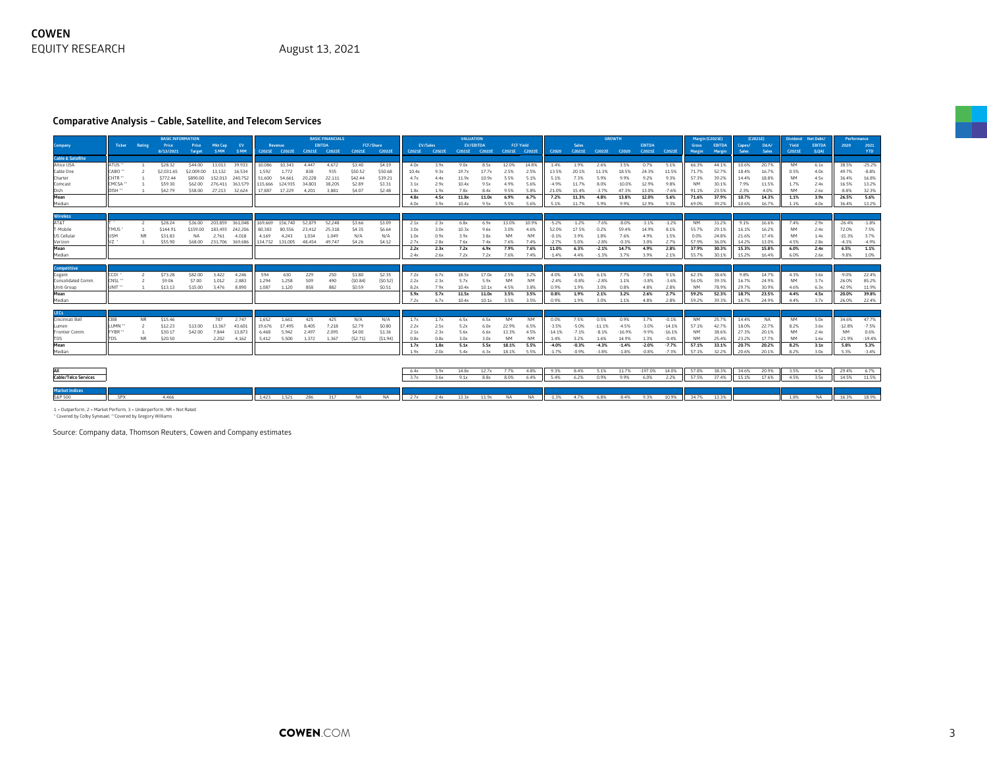#### **Comparative Analysis – Cable, Satellite, and Telecom Services**

|                              |                     |                      | <b>BASIC INFORMATION</b> |            |                         |                 |         |                        |        | <b>BASIC FINANCIALS</b>     |         |           |              |               | <b>VALUATION</b> |                             |              |                  |              |              | <b>GROWTH</b>                           |              |              |              | Margin (C2021E)    |                |                | (C2021E)       | Dividend     | Net Debt/     | Performance    |                |
|------------------------------|---------------------|----------------------|--------------------------|------------|-------------------------|-----------------|---------|------------------------|--------|-----------------------------|---------|-----------|--------------|---------------|------------------|-----------------------------|--------------|------------------|--------------|--------------|-----------------------------------------|--------------|--------------|--------------|--------------------|----------------|----------------|----------------|--------------|---------------|----------------|----------------|
| Company                      |                     | <b>Ticker Rating</b> | Price                    | Price      | <b>Mkt Cap</b>          | EV              |         | Revenue                |        | <b>EBITDA</b>               |         | FCF/Share |              | EV/Sales      | EV/EBITDA        |                             |              | <b>FCF Yield</b> |              | <b>Sales</b> |                                         |              | EBITDA       |              | Gross              | <b>EBITDA</b>  | Capex/         | D&A/           | Yield        | <b>EBITDA</b> | 2020           | 2021           |
| <b>Cable &amp; Satellite</b> |                     |                      | 8/13/2021                | Target     | SMM <sub>3</sub>        | <b>SMM</b>      |         |                        |        | C2021E C2022E C2021E C2022E | C2021E  | C2022E    |              | C2021E C2022E |                  | C2021E C2022E C2021E C2022E |              |                  |              |              | C2020 C2021E C2022E C2020 C2021E C2022E |              |              |              | Margin             | Margin         | Sales -        | <b>Sales</b>   | C2021E       | (LQA)         |                | <b>YTD</b>     |
| Altice USA                   | ATUS "              |                      | \$28.32                  | \$44.00    | 13.013                  | 39.933          | 10,086  | 10.343                 | 4.447  | 4,672                       | \$3.40  | \$4.19    | 4.0x         | 3.9x          | 9.0x             | 8.5x                        | 12.0%        | 14.8%            | 1.4%         | 1.9%         | 2.6%                                    | 3.5%         | 0.7%         | 5.1%         | 66.3%              | 44.1%          | 10.6%          | 20.7%          | <b>NM</b>    | 6.1x          | 38.5%          | $-25.2%$       |
| Cable One                    | CABO <sup></sup>    |                      | \$2,031.65               | \$2,009.00 | 13,132                  | 16,534          | 1,592   | 1.772                  | 838    | 935                         | \$50.52 | \$50.68   | 10.4x        | 9.3x          | 19.7x            | 17.7x                       | 2.5%         | 2.5%             | 13.5%        | 20.1%        | 11.3%                                   | 18.5%        | 24.3%        | 11.5%        | 71.7%              | 52.7%          | 18.4%          | 16.7%          | 0.5%         | 4.0x          | 49.7%          | $-8.8%$        |
| Charter                      | CHTR **             |                      | \$772.44                 | \$890.00   |                         | 152,013 240,752 | 51,600  | 54.661                 | 20,228 | 22.111                      | \$42.44 | \$39.21   | 4.7x         | 4.4x          | 11.9x            | 10.9x                       | 5.5%         | 5.1%             | 5.1%         | 7.3%         | 5.9%                                    | 9.9%         | 9.2%         | 9.3%         | 57.3%              | 39.2%          | 14.4%          | 18.8%          | <b>NM</b>    | 4.5x          | 36.4%          | 16.8%          |
| Comcast                      | CMCSA *             |                      | \$59.30                  | \$62.00    | 276,411 363,579         |                 | 115,666 | 124,935                | 34.803 | 38.205                      | \$2.89  | \$3.31    | 3.1x         | 2.9x          | 10.4x            | 9.5x                        | 4.9%         | 5.6%             | $-4.9%$      | 11.7%        | 8.0%                                    | $-10.0%$     | 12.9%        | 9.8%         | <b>NM</b>          | 30.1%          | 7.9%           | 11.5%          | 1.7%         | 2.4x          | 16.5%          | 13.2%          |
| Dish                         | DISH **             |                      | \$42.79                  | \$58.00    | 27.213                  | 32.624          | 17.887  | 17,229                 | 4,201  | 3.881                       | \$4.07  | \$2.48    | 1.8x         | 1.9x          | 7.8x             | 8.4x                        | 9.5%         | 5.8%             | 21.0%        | 15.4%        | $-3.7%$                                 | 47.3%        | 13.0%        | $-7.6%$      | 91.1%              | 23.5%          | 2.3%           | 4.0%           | <b>NM</b>    | 2.6x          | $-8.8%$        | 32.3%          |
| Mean                         |                     |                      |                          |            |                         |                 |         |                        |        |                             |         |           | 4.8x         | 4.5x          | 11.8x            | 11.0x                       | 6.9%         | 6.7%             | 7.2%         | 11.3%        | 4.8%                                    | 13.8%        | 12.0%        | 5.6%         | 71.6%              | 37.9%          | 10.7%          | 14.3%          | 1.1%         | 3.9x          | 26.5%          | 5.6%           |
| Median                       |                     |                      |                          |            |                         |                 |         |                        |        |                             |         |           | 4.0x         | 3.9x          | 10.4x            | 9.5x                        | 5.5%         | 5.6%             | 5.1%         | 11.7%        | 5.9%                                    | 9.9%         | 12.9%        | 9.3%         | 69.0%              | 39.2%          | 10.6%          | 16.7%          | 1.1%         | 4.0x          | 36.4%          | 13.2%          |
| <b>Wireless</b>              |                     |                      |                          |            |                         |                 |         |                        |        |                             |         |           |              |               |                  |                             |              |                  |              |              |                                         |              |              |              |                    |                |                |                |              |               |                |                |
| T&TA                         |                     |                      | \$28.24                  | \$36.00    | 203.859 361.048         |                 |         | 169,669 156,740        | 52.879 | 52.248                      | \$3.66  | \$3.09    | 2.1x         | 2.3x          | 6.8x             | 6.9x                        | 13.0%        | 10.9%            | $-5.2%$      | $-1.2%$      | $-7.6%$                                 | $-8.0\%$     | $-3.1%$      | $-1.2%$      | <b>NM</b>          | 31.2%          | 9.1%           | 16.6%          | 7.4%         | 2.9x          | $-26.4%$       | $-1.8%$        |
| T-Mobile                     | <b>TMUS</b>         |                      | \$144.91                 | \$159.00   |                         | 183.493 242.206 | 80,383  | 80.556                 | 23,412 | 25,318                      | \$4.35  | \$6.64    | 3.0x         | 3.0x          | 10.3x            | 9.6x                        | 3.0%         | 4.6%             | 52.0%        | 17.5%        | 0.2%                                    | 59.4%        | 14.9%        | 8.1%         | 55.7%              | 29.1%          | 16.1%          | 16.2%          |              | 2.4x          | 72.0%          | 7.5%           |
| US Cellular                  | USM                 | <b>NR</b>            | \$31.83                  | <b>NA</b>  | 2.761                   | 4.018           | 4.169   | 4.243                  | 1.034  | 1.049                       | N/A     | N/A       | 1.0x         | 0.9x          | 3.9x             | 3.8x                        | <b>NM</b>    | <b>NM</b>        | $-0.1%$      | 3.9%         | 1.8%                                    | 7.6%         | 4.9%         | 1.5%         | 0.0%               | 24.8%          | 21.6%          | 17.4%          | <b>NM</b>    | 1.4x          | $-15.3%$       | 3.7%           |
| Verizon                      |                     | $\mathbf{1}$         | \$55.90                  |            | \$68.00 231.706 369.686 |                 |         | 134.732 131.005 48.454 |        | 49.747                      | \$4.26  | \$4.12    | 2.7x         | 2.8x          | 7.6x             | 7.4x                        | 7.6%         | 7.4%             | $-2.7%$      | 5.0%         | $-2.8%$                                 | $-0.3%$      | 3.0%         | 2.7%         | 57.9%              | 36.0%          | 14.2%          | 13.0%          | 4.5%         | 2.8x          | $-4.3%$        | $-4.9%$        |
| Mean                         |                     |                      |                          |            |                         |                 |         |                        |        |                             |         |           | 2.2x         | 2.3x          | 7.2x             | 6.9x                        | 7.9%         | 7.6%             | 11.0%        | 6.3%         | $-2.1%$                                 | 14.7%        | 4.9%         | 2.8%         | 37.9%              | 30.3%          | 15.3%          | 15.8%          | 6.0%         | 2.4x          | 6.5%           | 1.1%           |
| Median                       |                     |                      |                          |            |                         |                 |         |                        |        |                             |         |           | 2.4x         | 2.6x          | 7.2x             | 7.2x                        | 7.6%         | 7.4%             | $-1.4%$      | 4.4%         | $-1.3%$                                 | 3.7%         | 3.9%         | 2.1%         | 55.7%              | 30.1%          | 15.2%          | 16.4%          | 6.0%         | 2.6x          | $-9.8%$        | 1.0%           |
|                              |                     |                      |                          |            |                         |                 |         |                        |        |                             |         |           |              |               |                  |                             |              |                  |              |              |                                         |              |              |              |                    |                |                |                |              |               |                |                |
| <b>Competitive</b>           |                     |                      |                          |            |                         |                 |         |                        |        |                             |         |           |              |               |                  |                             |              |                  |              |              |                                         |              |              |              |                    |                |                |                |              |               |                |                |
| Cogent                       | CCOI ·              |                      | \$73.28                  | \$82.00    | 3,422                   | 4,246           | 594     | 630                    | 229    | 250                         | \$1.80  | \$2.35    | 7.2x         | 6.7x          | 18.5x            | 17.0x                       | 2.5%         | 3.2%             | 4.0%         | 4.5%         | 6.1%                                    | 7.7%         | 7.0%         | 9.1%         | 62.3%              | 38.6%          | 9.8%           | 14.7%          | 4.3%         | 3.6x          | $-9.0%$        | 22.4%          |
| <b>Consolidated Comm</b>     | (CNSL **<br>UNIT ** |                      | \$9.06                   | \$7.00     | 1.012                   | 2,883           | 1,294   | 1,258                  | 509    | 490                         | (S0.84) | (S0.52)   | 2.2x         | 2.3x          | 5.7x             | 5.9x                        | <b>NM</b>    | <b>NM</b>        | $-2.4%$      | $-0.8%$      | $-2.8%$                                 | 1.1%         | $-3.8%$      | $-3.6%$      | 56.0%              | 39.3%          | 16.7%          | 24.9%          | <b>NM</b>    | 3.7x          | 26.0%          | 85.2%          |
| Uniti Group<br>Mean          |                     |                      | \$13.13                  | \$15.00    | 3,476                   | 8,890           | 1,087   | 1,120                  | 858    | 882                         | \$0.59  | \$0.51    | 8.2x<br>5.9x | 7.9x<br>5.7x  | 10.4x<br>11.5x   | 10.1x<br>11.0x              | 4.5%<br>3.5% | 3.8%<br>3.5%     | 0.9%<br>0.8% | 1.9%<br>1.9% | 3.0%<br>2.1%                            | 0.8%<br>3.2% | 4.8%<br>2.6% | 2.8%<br>2.7% | <b>NM</b><br>59.2% | 78.9%<br>52.3% | 29.7%<br>18.7% | 30.9%<br>23.5% | 4.6%<br>4.4% | 6.3x<br>4.5x  | 42.9%<br>20.0% | 11.9%<br>39.8% |
| Median                       |                     |                      |                          |            |                         |                 |         |                        |        |                             |         |           | 7.2x         | 6.7x          | 10.4x            | 10.1x                       | 3.5%         | 3.5%             | 0.9%         | 1.9%         | 3.0%                                    | 1.1%         | 4.8%         | 2.8%         | 59.2%              | 39.3%          | 16.7%          | 24.9%          | 4.4%         | 3.7x          | 26.0%          | 22.4%          |
|                              |                     |                      |                          |            |                         |                 |         |                        |        |                             |         |           |              |               |                  |                             |              |                  |              |              |                                         |              |              |              |                    |                |                |                |              |               |                |                |
| <b>LECs</b>                  |                     |                      |                          |            |                         |                 |         |                        |        |                             |         |           |              |               |                  |                             |              |                  |              |              |                                         |              |              |              |                    |                |                |                |              |               |                |                |
| Cincinnati Bell              | CBB                 | <b>NR</b>            | \$15.46                  |            | 787                     | 2.747           | 1,652   | 1.661                  | 425    | 425                         | N/A     | N/A       | 1.7x         | 1.7x          | 6.5x             | 6.5x                        | <b>NM</b>    | <b>NM</b>        | 0.0%         | 7.5%         | 0.5%                                    | 0.9%         | 3.7%         | $-0.1%$      | <b>NM</b>          | 25.7%          | 14.4%          | <b>NA</b>      | <b>NM</b>    | 5.0x          | 34.6%          | 47.7%          |
| Lumen                        | LUMN "              |                      | \$12.23                  | \$13.00    | 13.367                  | 43.601          | 19.676  | 17.495                 | 8.405  | 7.218                       | \$2.79  | \$0.80    | 2.2x         | 2.5x          | 5.2x             | 6.0x                        | 22.9%        | 6.5%             | $-3.5%$      | $-5.0%$      | $-11.1%$                                | $-4.5%$      | $-3.0%$      | $-14.1%$     | 57.1%              | 42.7%          | 18.0%          | 22.7%          | 8.2%         | 3.6x          | $-12.8%$       | $-7.5%$        |
| <b>Frontier Comm</b>         | FYBR *              |                      | \$30.17                  | \$42.00    | 7.844                   | 13.873          | 6.468   | 5.942                  | 2.497  | 2.095                       | \$4.00  | \$1.36    | 2.1x         | 2.3x          | 5.6x             | 6.6x                        | 13.3%        | 4.5%             | $-14.1%$     | $-7.1%$      | $-8.1%$                                 | $-16.9%$     | $-9.9%$      | $-16.1%$     | <b>NM</b>          | 38.6%          | 27.3%          | 20.1%          | <b>NM</b>    | 2.4x          | <b>NM</b>      | 0.6%           |
|                              | ms                  | NR.                  | \$20.50                  |            | 2.202                   | 4.162           | 5.412   | 5.500                  | 1.372  | 1.367                       | (S2.71) | (S1.94)   | 0.8x         | 0.8x          | 3.0x             | 3.0x                        | <b>NM</b>    | <b>NM</b>        | 1.4%         | 3.2%         | 1.6%                                    | 14.9%        | 1.3%         | $-0.4%$      | <b>NM</b>          | 25.4%          | 23.2%          | 17.7%          | <b>NM</b>    | 1.6x          | $-21.9%$       | $-19.4%$       |
| Mean                         |                     |                      |                          |            |                         |                 |         |                        |        |                             |         |           | 1.7x         | 1.8x          | 5.1x             | 5.5x                        | 18.1%        | 5.5%             | $-4.0%$      | $-0.3%$      | $-4.3%$                                 | $-1.4%$      | $-2.0%$      | $-7.7%$      | 57.1%              | 33.1%          | 20.7%          | 20.2%          | 8.2%         | 3.1x          | 5.8%           | 5.3%           |
| Median                       |                     |                      |                          |            |                         |                 |         |                        |        |                             |         |           | 1.9x         | 2.0x          | 5.4x             | 6.3x                        | 18.1%        | 5.5%             | $-1.7%$      | $-0.9%$      | $-3.8%$                                 | $-1.8%$      | $-0.8%$      | $-7.3%$      | 57.1%              | 32.2%          | 20.6%          | 20.1%          | 8.2%         | 3.0x          | 5.3%           | $-3.4%$        |
|                              |                     |                      |                          |            |                         |                 |         |                        |        |                             |         |           |              |               |                  |                             |              |                  |              |              |                                         |              |              |              |                    |                |                |                |              |               |                |                |
|                              |                     |                      |                          |            |                         |                 |         |                        |        |                             |         |           | 6.4x         | 5.9x          | 14.8x            | 12.7x                       | 7.7%         | 4.8%             | 9.3%         | 8.4%         | 5.1%                                    | 11.7%        | $-197.0%$    | 14.0%        | 57.8%              | 38.3%          | 34.6%          | 20.9%          | 3.5%         | 4.5x          | 29.4%          | 6.7%           |
| <b>Cable/Telco Services</b>  |                     |                      |                          |            |                         |                 |         |                        |        |                             |         |           | 3.7x         | 3.6x          | 9.1x             | 8.8x                        | 8.0%         | 6.4%             | 5.4%         | 6.2%         | 0.9%                                    | 9.9%         | 6.0%         | 2.2%         | 57.5%              | 37.4%          | 15.1%          | 17.6%          | 4.5%         | 3.5x          | 14.5%          | 11.5%          |
|                              |                     |                      |                          |            |                         |                 |         |                        |        |                             |         |           |              |               |                  |                             |              |                  |              |              |                                         |              |              |              |                    |                |                |                |              |               |                |                |
| <b>Market Indices</b>        |                     |                      |                          |            |                         |                 |         |                        |        |                             |         |           |              |               |                  |                             |              |                  |              |              |                                         |              |              |              |                    |                |                |                |              |               |                |                |

1 = Outperform, 2 = Market Perform, 3 = Underperform, NR = Not Rated \* Covered by Colby Synesael, \*\*Covered by Gregory Williams

Source: Company data, Thomson Reuters, Cowen and Company estimates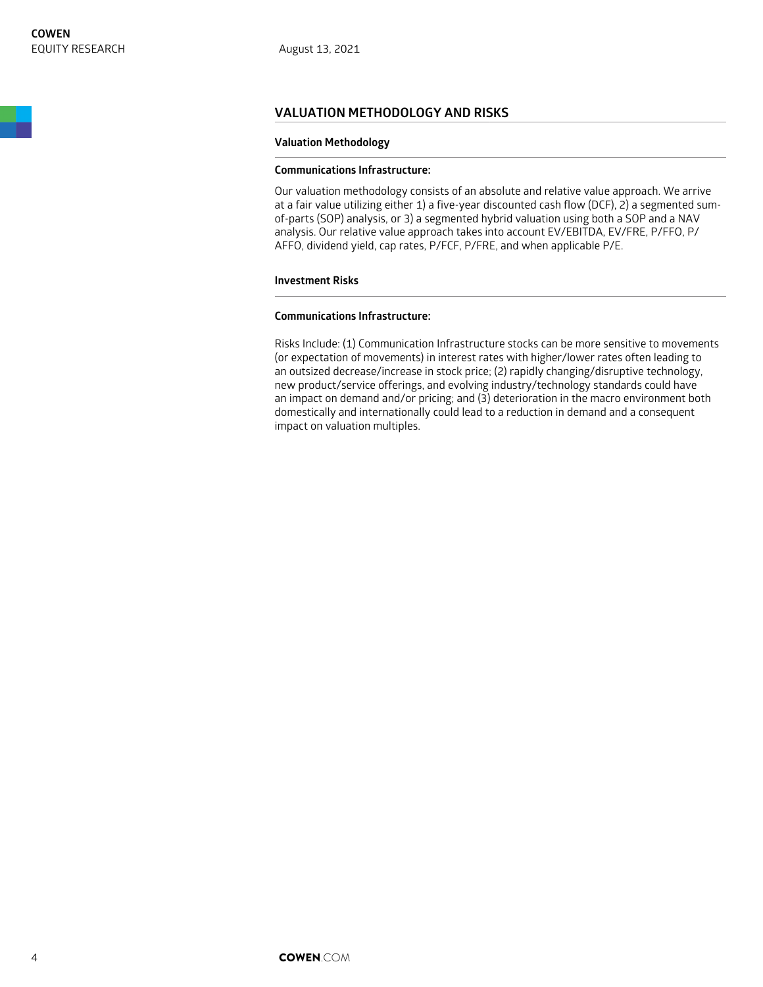#### **VALUATION METHODOLOGY AND RISKS**

#### **Valuation Methodology**

#### **Communications Infrastructure:**

Our valuation methodology consists of an absolute and relative value approach. We arrive at a fair value utilizing either 1) a five-year discounted cash flow (DCF), 2) a segmented sumof-parts (SOP) analysis, or 3) a segmented hybrid valuation using both a SOP and a NAV analysis. Our relative value approach takes into account EV/EBITDA, EV/FRE, P/FFO, P/ AFFO, dividend yield, cap rates, P/FCF, P/FRE, and when applicable P/E.

#### **Investment Risks**

#### **Communications Infrastructure:**

Risks Include: (1) Communication Infrastructure stocks can be more sensitive to movements (or expectation of movements) in interest rates with higher/lower rates often leading to an outsized decrease/increase in stock price; (2) rapidly changing/disruptive technology, new product/service offerings, and evolving industry/technology standards could have an impact on demand and/or pricing; and (3) deterioration in the macro environment both domestically and internationally could lead to a reduction in demand and a consequent impact on valuation multiples.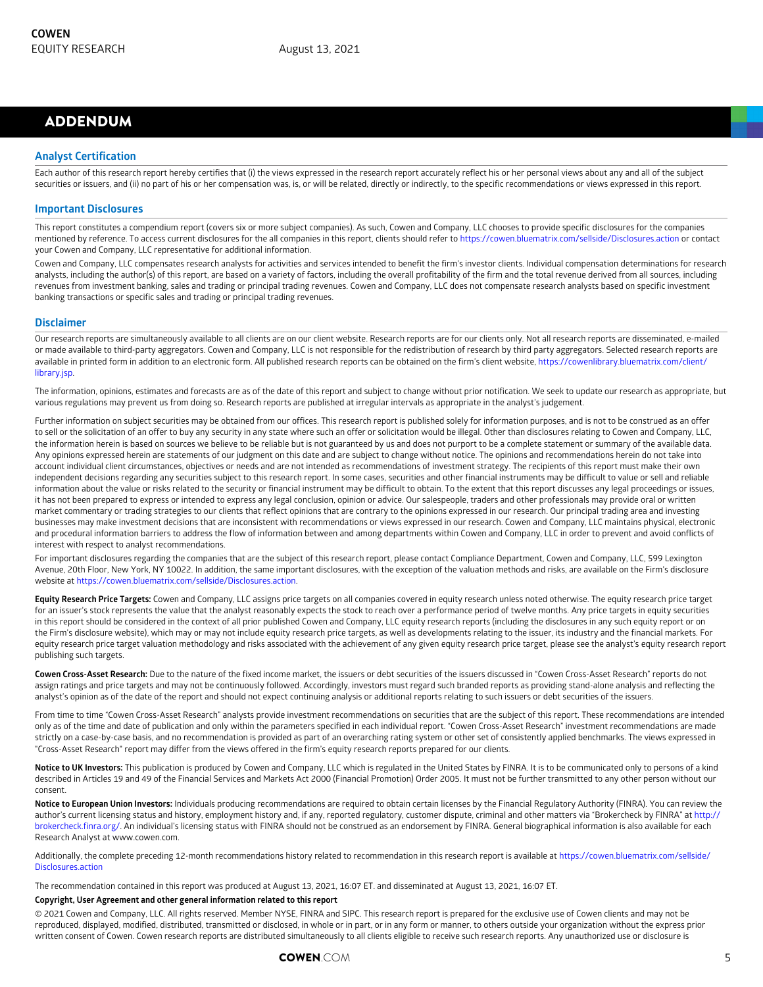## ADDENDUM

#### **Analyst Certification**

Each author of this research report hereby certifies that (i) the views expressed in the research report accurately reflect his or her personal views about any and all of the subject securities or issuers, and (ii) no part of his or her compensation was, is, or will be related, directly or indirectly, to the specific recommendations or views expressed in this report.

#### **Important Disclosures**

This report constitutes a compendium report (covers six or more subject companies). As such, Cowen and Company, LLC chooses to provide specific disclosures for the companies mentioned by reference. To access current disclosures for the all companies in this report, clients should refer to<https://cowen.bluematrix.com/sellside/Disclosures.action> or contact your Cowen and Company, LLC representative for additional information.

Cowen and Company, LLC compensates research analysts for activities and services intended to benefit the firm's investor clients. Individual compensation determinations for research analysts, including the author(s) of this report, are based on a variety of factors, including the overall profitability of the firm and the total revenue derived from all sources, including revenues from investment banking, sales and trading or principal trading revenues. Cowen and Company, LLC does not compensate research analysts based on specific investment banking transactions or specific sales and trading or principal trading revenues.

#### **Disclaimer**

Our research reports are simultaneously available to all clients are on our client website. Research reports are for our clients only. Not all research reports are disseminated, e-mailed or made available to third-party aggregators. Cowen and Company, LLC is not responsible for the redistribution of research by third party aggregators. Selected research reports are available in printed form in addition to an electronic form. All published research reports can be obtained on the firm's client website, [https://cowenlibrary.bluematrix.com/client/](https://cowenlibrary.bluematrix.com/client/library.jsp) [library.jsp](https://cowenlibrary.bluematrix.com/client/library.jsp).

The information, opinions, estimates and forecasts are as of the date of this report and subject to change without prior notification. We seek to update our research as appropriate, but various regulations may prevent us from doing so. Research reports are published at irregular intervals as appropriate in the analyst's judgement.

Further information on subject securities may be obtained from our offices. This research report is published solely for information purposes, and is not to be construed as an offer to sell or the solicitation of an offer to buy any security in any state where such an offer or solicitation would be illegal. Other than disclosures relating to Cowen and Company, LLC, the information herein is based on sources we believe to be reliable but is not guaranteed by us and does not purport to be a complete statement or summary of the available data. Any opinions expressed herein are statements of our judgment on this date and are subject to change without notice. The opinions and recommendations herein do not take into account individual client circumstances, objectives or needs and are not intended as recommendations of investment strategy. The recipients of this report must make their own independent decisions regarding any securities subject to this research report. In some cases, securities and other financial instruments may be difficult to value or sell and reliable information about the value or risks related to the security or financial instrument may be difficult to obtain. To the extent that this report discusses any legal proceedings or issues, it has not been prepared to express or intended to express any legal conclusion, opinion or advice. Our salespeople, traders and other professionals may provide oral or written market commentary or trading strategies to our clients that reflect opinions that are contrary to the opinions expressed in our research. Our principal trading area and investing businesses may make investment decisions that are inconsistent with recommendations or views expressed in our research. Cowen and Company, LLC maintains physical, electronic and procedural information barriers to address the flow of information between and among departments within Cowen and Company, LLC in order to prevent and avoid conflicts of interest with respect to analyst recommendations.

For important disclosures regarding the companies that are the subject of this research report, please contact Compliance Department, Cowen and Company, LLC, 599 Lexington Avenue, 20th Floor, New York, NY 10022. In addition, the same important disclosures, with the exception of the valuation methods and risks, are available on the Firm's disclosure website at <https://cowen.bluematrix.com/sellside/Disclosures.action>.

**Equity Research Price Targets:** Cowen and Company, LLC assigns price targets on all companies covered in equity research unless noted otherwise. The equity research price target for an issuer's stock represents the value that the analyst reasonably expects the stock to reach over a performance period of twelve months. Any price targets in equity securities in this report should be considered in the context of all prior published Cowen and Company, LLC equity research reports (including the disclosures in any such equity report or on the Firm's disclosure website), which may or may not include equity research price targets, as well as developments relating to the issuer, its industry and the financial markets. For equity research price target valuation methodology and risks associated with the achievement of any given equity research price target, please see the analyst's equity research report publishing such targets.

**Cowen Cross-Asset Research:** Due to the nature of the fixed income market, the issuers or debt securities of the issuers discussed in "Cowen Cross-Asset Research" reports do not assign ratings and price targets and may not be continuously followed. Accordingly, investors must regard such branded reports as providing stand-alone analysis and reflecting the analyst's opinion as of the date of the report and should not expect continuing analysis or additional reports relating to such issuers or debt securities of the issuers.

From time to time "Cowen Cross-Asset Research" analysts provide investment recommendations on securities that are the subject of this report. These recommendations are intended only as of the time and date of publication and only within the parameters specified in each individual report. "Cowen Cross-Asset Research" investment recommendations are made strictly on a case-by-case basis, and no recommendation is provided as part of an overarching rating system or other set of consistently applied benchmarks. The views expressed in "Cross-Asset Research" report may differ from the views offered in the firm's equity research reports prepared for our clients.

**Notice to UK Investors:** This publication is produced by Cowen and Company, LLC which is regulated in the United States by FINRA. It is to be communicated only to persons of a kind described in Articles 19 and 49 of the Financial Services and Markets Act 2000 (Financial Promotion) Order 2005. It must not be further transmitted to any other person without our consent.

**Notice to European Union Investors:** Individuals producing recommendations are required to obtain certain licenses by the Financial Regulatory Authority (FINRA). You can review the author's current licensing status and history, employment history and, if any, reported regulatory, customer dispute, criminal and other matters via "Brokercheck by FINRA" at [http://](http://brokercheck.finra.org/) [brokercheck.finra.org/](http://brokercheck.finra.org/). An individual's licensing status with FINRA should not be construed as an endorsement by FINRA. General biographical information is also available for each Research Analyst at www.cowen.com.

Additionally, the complete preceding 12-month recommendations history related to recommendation in this research report is available at [https://cowen.bluematrix.com/sellside/](https://cowen.bluematrix.com/sellside/Disclosures.action) [Disclosures.action](https://cowen.bluematrix.com/sellside/Disclosures.action)

The recommendation contained in this report was produced at August 13, 2021, 16:07 ET. and disseminated at August 13, 2021, 16:07 ET.

#### **Copyright, User Agreement and other general information related to this report**

© 2021 Cowen and Company, LLC. All rights reserved. Member NYSE, FINRA and SIPC. This research report is prepared for the exclusive use of Cowen clients and may not be reproduced, displayed, modified, distributed, transmitted or disclosed, in whole or in part, or in any form or manner, to others outside your organization without the express prior written consent of Cowen. Cowen research reports are distributed simultaneously to all clients eligible to receive such research reports. Any unauthorized use or disclosure is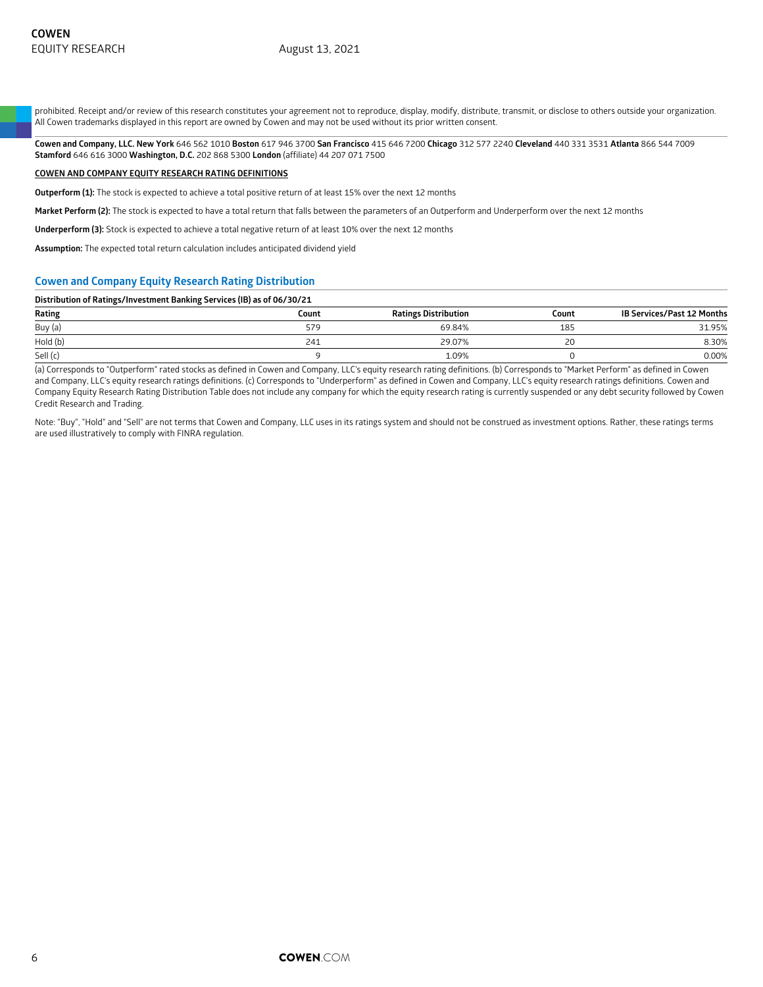prohibited. Receipt and/or review of this research constitutes your agreement not to reproduce, display, modify, distribute, transmit, or disclose to others outside your organization. All Cowen trademarks displayed in this report are owned by Cowen and may not be used without its prior written consent.

**Cowen and Company, LLC. New York** 646 562 1010 **Boston** 617 946 3700 **San Francisco** 415 646 7200 **Chicago** 312 577 2240 **Cleveland** 440 331 3531 **Atlanta** 866 544 7009 **Stamford** 646 616 3000 **Washington, D.C.** 202 868 5300 **London** (affiliate) 44 207 071 7500

#### **COWEN AND COMPANY EQUITY RESEARCH RATING DEFINITIONS**

**Outperform (1):** The stock is expected to achieve a total positive return of at least 15% over the next 12 months

**Market Perform (2):** The stock is expected to have a total return that falls between the parameters of an Outperform and Underperform over the next 12 months

**Underperform (3):** Stock is expected to achieve a total negative return of at least 10% over the next 12 months

**Assumption:** The expected total return calculation includes anticipated dividend yield

#### **Cowen and Company Equity Research Rating Distribution**

#### **Distribution of Ratings/Investment Banking Services (IB) as of 06/30/21**

| Rating   | Count | <b>Ratings Distribution</b> | Count | <b>IB Services/Past 12 Months</b> |
|----------|-------|-----------------------------|-------|-----------------------------------|
| Buy (a)  | 579   | 69.84%                      | 185   | 31.95%                            |
| Hold (b) | 241   | 29.07%                      | 20    | 8.30%                             |
| Sell (c) |       | .09%                        |       | 0.00%                             |

(a) Corresponds to "Outperform" rated stocks as defined in Cowen and Company, LLC's equity research rating definitions. (b) Corresponds to "Market Perform" as defined in Cowen and Company, LLC's equity research ratings definitions. (c) Corresponds to "Underperform" as defined in Cowen and Company, LLC's equity research ratings definitions. Cowen and Company Equity Research Rating Distribution Table does not include any company for which the equity research rating is currently suspended or any debt security followed by Cowen Credit Research and Trading.

Note: "Buy", "Hold" and "Sell" are not terms that Cowen and Company, LLC uses in its ratings system and should not be construed as investment options. Rather, these ratings terms are used illustratively to comply with FINRA regulation.